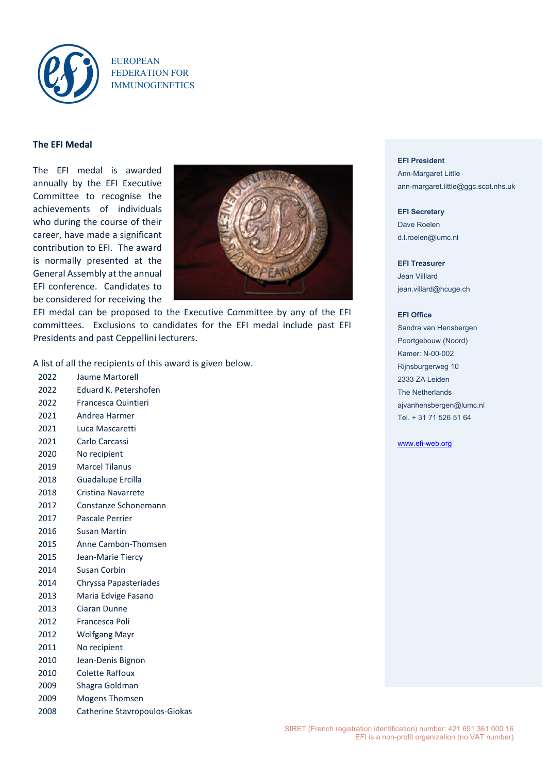

EUROPEAN FEDERATION FOR IMMUNOGENETICS

# **The EFI Medal**

The EFI medal is awarded annually by the EFI Executive Committee to recognise the achievements of individuals who during the course of their career, have made a significant contribution to EFI. The award is normally presented at the General Assembly at the annual EFI conference. Candidates to be considered for receiving the



EFI medal can be proposed to the Executive Committee by any of the EFI committees. Exclusions to candidates for the EFI medal include past EFI Presidents and past Ceppellini lecturers.

A list of all the recipients of this award is given below.

- 2022 Jaume Martorell
- 2022 Eduard K. Petershofen
- 2022 Francesca Quintieri
- 2021 Andrea Harmer
- 2021 Luca Mascaretti
- 2021 Carlo Carcassi
- 2020 No recipient
- 2019 Marcel Tilanus
- 2018 Guadalupe Ercilla
- 2018 Cristina Navarrete
- 2017 Constanze Schonemann
- 2017 Pascale Perrier
- 2016 Susan Martin
- 2015 Anne Cambon-Thomsen
- 2015 Jean-Marie Tiercy
- 2014 Susan Corbin
- 2014 Chryssa Papasteriades
- 2013 Maria Edvige Fasano
- 2013 Ciaran Dunne
- 2012 Francesca Poli
- 2012 Wolfgang Mayr
- 2011 No recipient
- 2010 Jean-Denis Bignon
- 2010 Colette Raffoux
- 2009 Shagra Goldman
- 2009 Mogens Thomsen
- 2008 Catherine Stavropoulos-Giokas

#### **EFI President**

Ann-Margaret Little ann-margaret.little@ggc.scot.nhs.uk

**EFI Secretary** Dave Roelen d.l.roelen@lumc.nl

## **EFI Treasurer**

Jean Villlard jean.villard@hcuge.ch

#### **EFI Office**

Sandra van Hensbergen Poortgebouw (Noord) Kamer: N-00-002 Rijnsburgerweg 10 2333 ZA Leiden The Netherlands [ajvanhensbergen@lumc.nl](mailto:ajvanhensbergen@lumc.nl) Tel. + 31 71 526 51 64

### [www.efi-web.org](http://www.efi-web.org/)